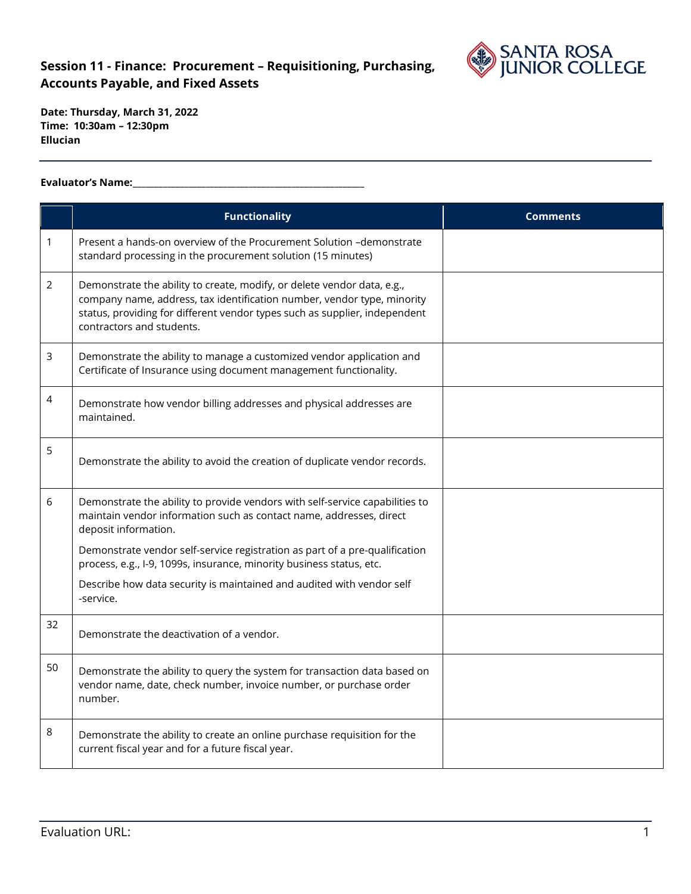

 **Time: 10:30am – 12:30pm Date: Thursday, March 31, 2022 Ellucian** 

#### **Evaluator's Name:\_\_\_\_\_\_\_\_\_\_\_\_\_\_\_\_\_\_\_\_\_\_\_\_\_\_\_\_\_\_\_\_\_\_\_\_\_\_\_\_\_\_\_\_\_\_\_\_\_\_\_\_\_\_**

|    | <b>Functionality</b>                                                                                                                                                                                                                                          | <b>Comments</b> |
|----|---------------------------------------------------------------------------------------------------------------------------------------------------------------------------------------------------------------------------------------------------------------|-----------------|
| 1  | Present a hands-on overview of the Procurement Solution -demonstrate<br>standard processing in the procurement solution (15 minutes)                                                                                                                          |                 |
| 2  | Demonstrate the ability to create, modify, or delete vendor data, e.g.,<br>company name, address, tax identification number, vendor type, minority<br>status, providing for different vendor types such as supplier, independent<br>contractors and students. |                 |
| 3  | Demonstrate the ability to manage a customized vendor application and<br>Certificate of Insurance using document management functionality.                                                                                                                    |                 |
| 4  | Demonstrate how vendor billing addresses and physical addresses are<br>maintained.                                                                                                                                                                            |                 |
| 5  | Demonstrate the ability to avoid the creation of duplicate vendor records.                                                                                                                                                                                    |                 |
| 6  | Demonstrate the ability to provide vendors with self-service capabilities to<br>maintain vendor information such as contact name, addresses, direct<br>deposit information.                                                                                   |                 |
|    | Demonstrate vendor self-service registration as part of a pre-qualification<br>process, e.g., I-9, 1099s, insurance, minority business status, etc.                                                                                                           |                 |
|    | Describe how data security is maintained and audited with vendor self<br>-service.                                                                                                                                                                            |                 |
| 32 | Demonstrate the deactivation of a vendor.                                                                                                                                                                                                                     |                 |
| 50 | Demonstrate the ability to query the system for transaction data based on<br>vendor name, date, check number, invoice number, or purchase order<br>number.                                                                                                    |                 |
| 8  | Demonstrate the ability to create an online purchase requisition for the<br>current fiscal year and for a future fiscal year.                                                                                                                                 |                 |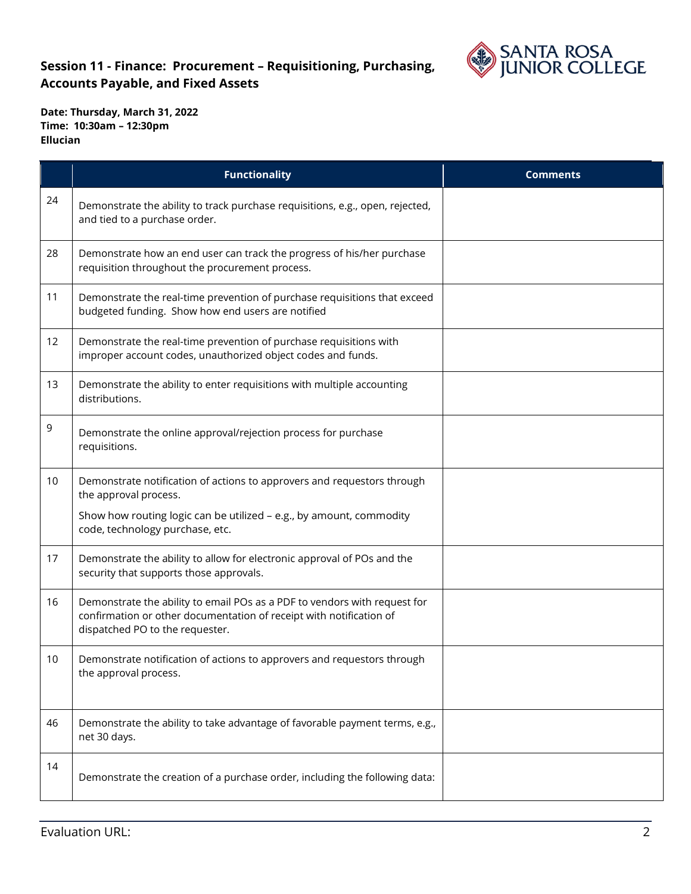

|    | <b>Functionality</b>                                                                                                                                                                | <b>Comments</b> |
|----|-------------------------------------------------------------------------------------------------------------------------------------------------------------------------------------|-----------------|
| 24 | Demonstrate the ability to track purchase requisitions, e.g., open, rejected,<br>and tied to a purchase order.                                                                      |                 |
| 28 | Demonstrate how an end user can track the progress of his/her purchase<br>requisition throughout the procurement process.                                                           |                 |
| 11 | Demonstrate the real-time prevention of purchase requisitions that exceed<br>budgeted funding. Show how end users are notified                                                      |                 |
| 12 | Demonstrate the real-time prevention of purchase requisitions with<br>improper account codes, unauthorized object codes and funds.                                                  |                 |
| 13 | Demonstrate the ability to enter requisitions with multiple accounting<br>distributions.                                                                                            |                 |
| 9  | Demonstrate the online approval/rejection process for purchase<br>requisitions.                                                                                                     |                 |
| 10 | Demonstrate notification of actions to approvers and requestors through<br>the approval process.                                                                                    |                 |
|    | Show how routing logic can be utilized - e.g., by amount, commodity<br>code, technology purchase, etc.                                                                              |                 |
| 17 | Demonstrate the ability to allow for electronic approval of POs and the<br>security that supports those approvals.                                                                  |                 |
| 16 | Demonstrate the ability to email POs as a PDF to vendors with request for<br>confirmation or other documentation of receipt with notification of<br>dispatched PO to the requester. |                 |
| 10 | Demonstrate notification of actions to approvers and requestors through<br>the approval process.                                                                                    |                 |
| 46 | Demonstrate the ability to take advantage of favorable payment terms, e.g.,<br>net 30 days.                                                                                         |                 |
| 14 | Demonstrate the creation of a purchase order, including the following data:                                                                                                         |                 |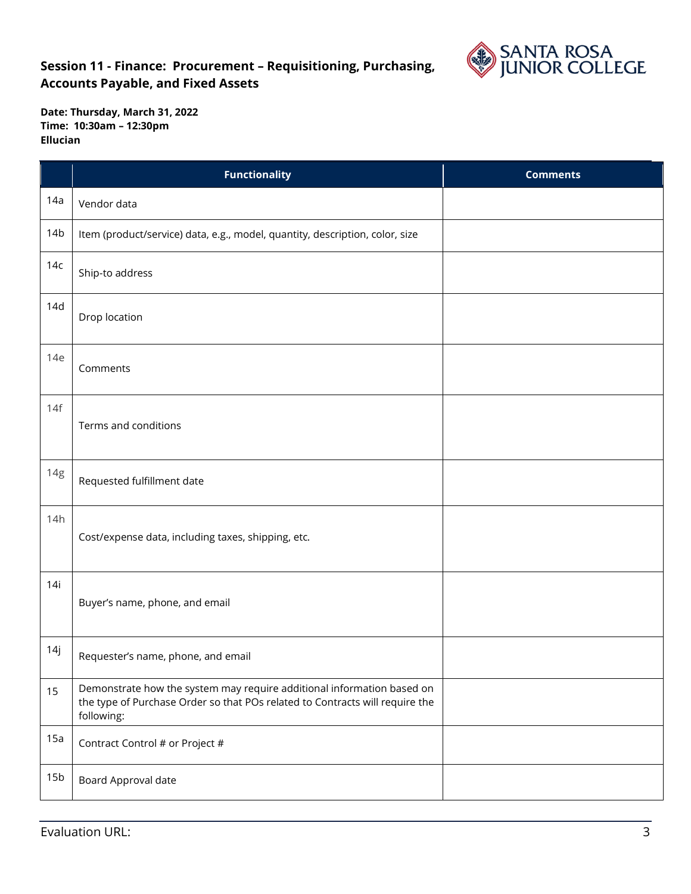

|                 | <b>Functionality</b>                                                                                                                                                 | <b>Comments</b> |
|-----------------|----------------------------------------------------------------------------------------------------------------------------------------------------------------------|-----------------|
| 14a             | Vendor data                                                                                                                                                          |                 |
| 14 <sub>b</sub> | Item (product/service) data, e.g., model, quantity, description, color, size                                                                                         |                 |
| 14c             | Ship-to address                                                                                                                                                      |                 |
| 14d             | Drop location                                                                                                                                                        |                 |
| 14e             | Comments                                                                                                                                                             |                 |
| 14f             | Terms and conditions                                                                                                                                                 |                 |
| 14g             | Requested fulfillment date                                                                                                                                           |                 |
| 14h             | Cost/expense data, including taxes, shipping, etc.                                                                                                                   |                 |
| 14i             | Buyer's name, phone, and email                                                                                                                                       |                 |
| 14j             | Requester's name, phone, and email                                                                                                                                   |                 |
| 15              | Demonstrate how the system may require additional information based on<br>the type of Purchase Order so that POs related to Contracts will require the<br>following: |                 |
| 15a             | Contract Control # or Project #                                                                                                                                      |                 |
| 15 <sub>b</sub> | Board Approval date                                                                                                                                                  |                 |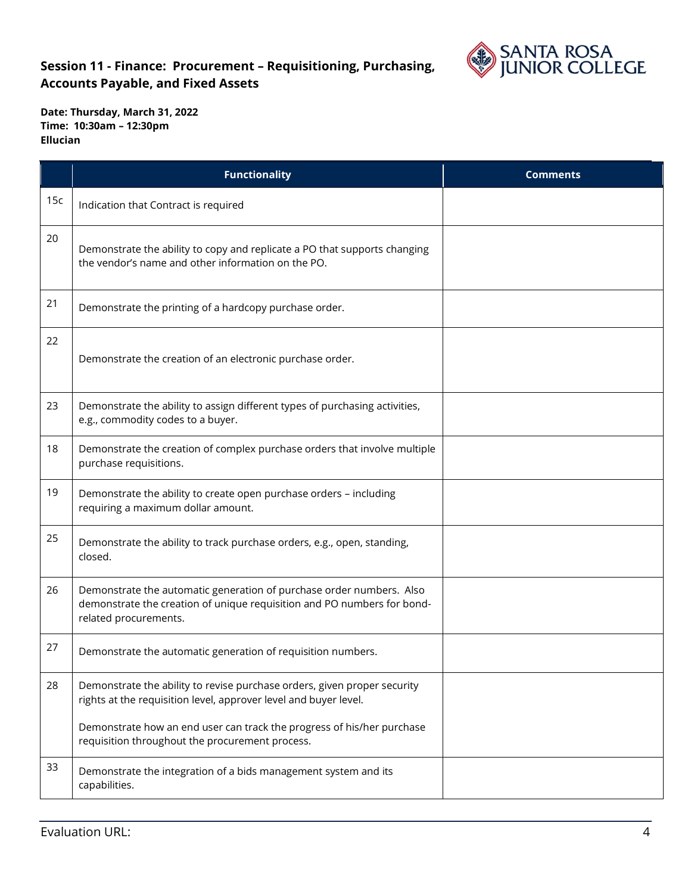

**Date: Thursday, March 31, 2022 Time: 10:30am – 12:30pm Ellucian** 

|     | <b>Functionality</b>                                                                                                                                                     | <b>Comments</b> |
|-----|--------------------------------------------------------------------------------------------------------------------------------------------------------------------------|-----------------|
| 15c | Indication that Contract is required                                                                                                                                     |                 |
| 20  | Demonstrate the ability to copy and replicate a PO that supports changing<br>the vendor's name and other information on the PO.                                          |                 |
| 21  | Demonstrate the printing of a hardcopy purchase order.                                                                                                                   |                 |
| 22  | Demonstrate the creation of an electronic purchase order.                                                                                                                |                 |
| 23  | Demonstrate the ability to assign different types of purchasing activities,<br>e.g., commodity codes to a buyer.                                                         |                 |
| 18  | Demonstrate the creation of complex purchase orders that involve multiple<br>purchase requisitions.                                                                      |                 |
| 19  | Demonstrate the ability to create open purchase orders - including<br>requiring a maximum dollar amount.                                                                 |                 |
| 25  | Demonstrate the ability to track purchase orders, e.g., open, standing,<br>closed.                                                                                       |                 |
| 26  | Demonstrate the automatic generation of purchase order numbers. Also<br>demonstrate the creation of unique requisition and PO numbers for bond-<br>related procurements. |                 |
| 27  | Demonstrate the automatic generation of requisition numbers.                                                                                                             |                 |
| 28  | Demonstrate the ability to revise purchase orders, given proper security<br>rights at the requisition level, approver level and buyer level.                             |                 |
|     | Demonstrate how an end user can track the progress of his/her purchase<br>requisition throughout the procurement process.                                                |                 |
| 33  | Demonstrate the integration of a bids management system and its<br>capabilities.                                                                                         |                 |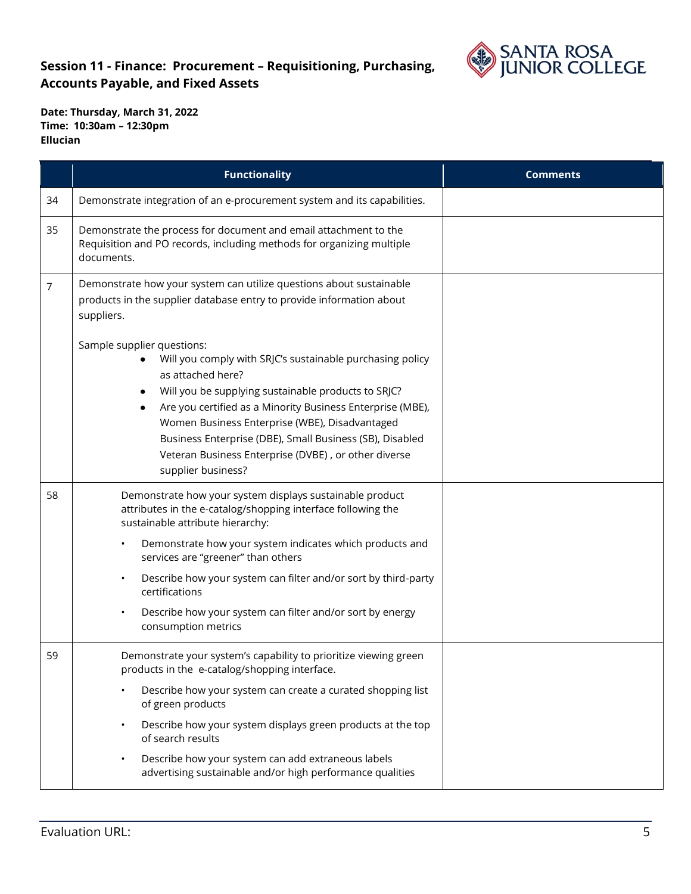

**Date: Thursday, March 31, 2022 Time: 10:30am – 12:30pm Ellucian** 

|    | <b>Functionality</b>                                                                                                                                                                                                                                                                                                                                                                                                               | <b>Comments</b> |
|----|------------------------------------------------------------------------------------------------------------------------------------------------------------------------------------------------------------------------------------------------------------------------------------------------------------------------------------------------------------------------------------------------------------------------------------|-----------------|
| 34 | Demonstrate integration of an e-procurement system and its capabilities.                                                                                                                                                                                                                                                                                                                                                           |                 |
| 35 | Demonstrate the process for document and email attachment to the<br>Requisition and PO records, including methods for organizing multiple<br>documents.                                                                                                                                                                                                                                                                            |                 |
| 7  | Demonstrate how your system can utilize questions about sustainable<br>products in the supplier database entry to provide information about<br>suppliers.                                                                                                                                                                                                                                                                          |                 |
|    | Sample supplier questions:<br>Will you comply with SRJC's sustainable purchasing policy<br>as attached here?<br>Will you be supplying sustainable products to SRJC?<br>Are you certified as a Minority Business Enterprise (MBE),<br>٠<br>Women Business Enterprise (WBE), Disadvantaged<br>Business Enterprise (DBE), Small Business (SB), Disabled<br>Veteran Business Enterprise (DVBE), or other diverse<br>supplier business? |                 |
| 58 | Demonstrate how your system displays sustainable product<br>attributes in the e-catalog/shopping interface following the<br>sustainable attribute hierarchy:                                                                                                                                                                                                                                                                       |                 |
|    | Demonstrate how your system indicates which products and<br>services are "greener" than others                                                                                                                                                                                                                                                                                                                                     |                 |
|    | Describe how your system can filter and/or sort by third-party<br>certifications                                                                                                                                                                                                                                                                                                                                                   |                 |
|    | Describe how your system can filter and/or sort by energy<br>consumption metrics                                                                                                                                                                                                                                                                                                                                                   |                 |
| 59 | Demonstrate your system's capability to prioritize viewing green<br>products in the e-catalog/shopping interface.                                                                                                                                                                                                                                                                                                                  |                 |
|    | Describe how your system can create a curated shopping list<br>of green products                                                                                                                                                                                                                                                                                                                                                   |                 |
|    | Describe how your system displays green products at the top<br>of search results                                                                                                                                                                                                                                                                                                                                                   |                 |
|    | Describe how your system can add extraneous labels<br>advertising sustainable and/or high performance qualities                                                                                                                                                                                                                                                                                                                    |                 |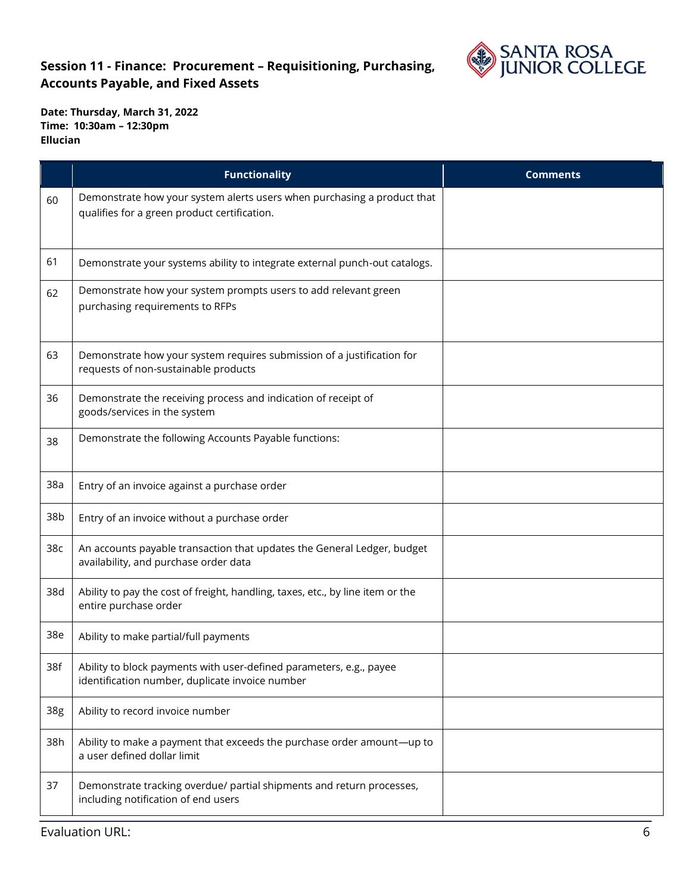

|     | <b>Functionality</b>                                                                                                    | <b>Comments</b> |
|-----|-------------------------------------------------------------------------------------------------------------------------|-----------------|
| 60  | Demonstrate how your system alerts users when purchasing a product that<br>qualifies for a green product certification. |                 |
| 61  | Demonstrate your systems ability to integrate external punch-out catalogs.                                              |                 |
| 62  | Demonstrate how your system prompts users to add relevant green<br>purchasing requirements to RFPs                      |                 |
| 63  | Demonstrate how your system requires submission of a justification for<br>requests of non-sustainable products          |                 |
| 36  | Demonstrate the receiving process and indication of receipt of<br>goods/services in the system                          |                 |
| 38  | Demonstrate the following Accounts Payable functions:                                                                   |                 |
| 38a | Entry of an invoice against a purchase order                                                                            |                 |
| 38b | Entry of an invoice without a purchase order                                                                            |                 |
| 38c | An accounts payable transaction that updates the General Ledger, budget<br>availability, and purchase order data        |                 |
| 38d | Ability to pay the cost of freight, handling, taxes, etc., by line item or the<br>entire purchase order                 |                 |
| 38e | Ability to make partial/full payments                                                                                   |                 |
| 38f | Ability to block payments with user-defined parameters, e.g., payee<br>identification number, duplicate invoice number  |                 |
| 38g | Ability to record invoice number                                                                                        |                 |
| 38h | Ability to make a payment that exceeds the purchase order amount-up to<br>a user defined dollar limit                   |                 |
| 37  | Demonstrate tracking overdue/ partial shipments and return processes,<br>including notification of end users            |                 |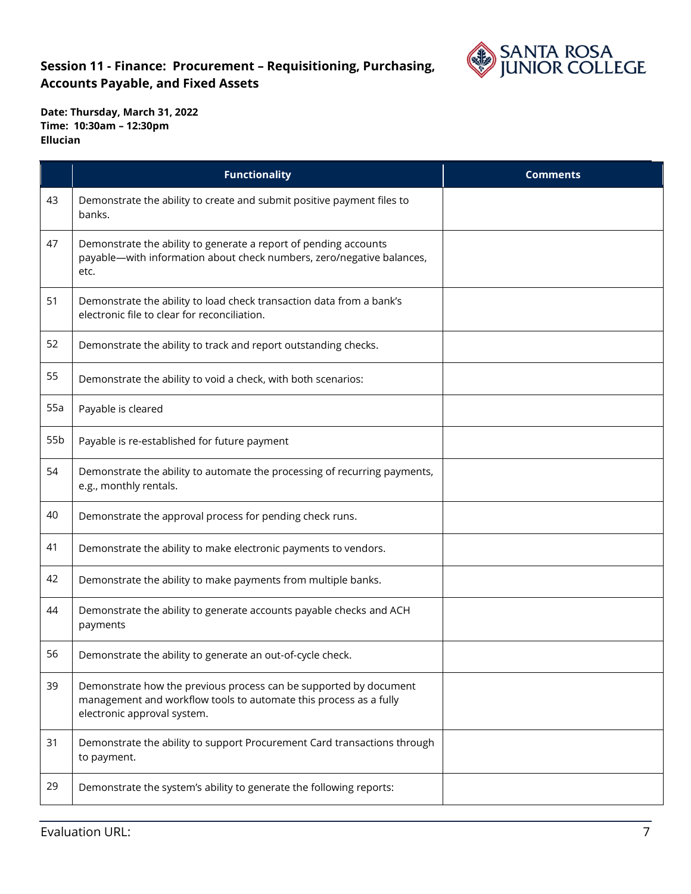

|     | <b>Functionality</b>                                                                                                                                                  | <b>Comments</b> |
|-----|-----------------------------------------------------------------------------------------------------------------------------------------------------------------------|-----------------|
| 43  | Demonstrate the ability to create and submit positive payment files to<br>banks.                                                                                      |                 |
| 47  | Demonstrate the ability to generate a report of pending accounts<br>payable-with information about check numbers, zero/negative balances,<br>etc.                     |                 |
| 51  | Demonstrate the ability to load check transaction data from a bank's<br>electronic file to clear for reconciliation.                                                  |                 |
| 52  | Demonstrate the ability to track and report outstanding checks.                                                                                                       |                 |
| 55  | Demonstrate the ability to void a check, with both scenarios:                                                                                                         |                 |
| 55a | Payable is cleared                                                                                                                                                    |                 |
| 55b | Payable is re-established for future payment                                                                                                                          |                 |
| 54  | Demonstrate the ability to automate the processing of recurring payments,<br>e.g., monthly rentals.                                                                   |                 |
| 40  | Demonstrate the approval process for pending check runs.                                                                                                              |                 |
| 41  | Demonstrate the ability to make electronic payments to vendors.                                                                                                       |                 |
| 42  | Demonstrate the ability to make payments from multiple banks.                                                                                                         |                 |
| 44  | Demonstrate the ability to generate accounts payable checks and ACH<br>payments                                                                                       |                 |
| 56  | Demonstrate the ability to generate an out-of-cycle check.                                                                                                            |                 |
| 39  | Demonstrate how the previous process can be supported by document<br>management and workflow tools to automate this process as a fully<br>electronic approval system. |                 |
| 31  | Demonstrate the ability to support Procurement Card transactions through<br>to payment.                                                                               |                 |
| 29  | Demonstrate the system's ability to generate the following reports:                                                                                                   |                 |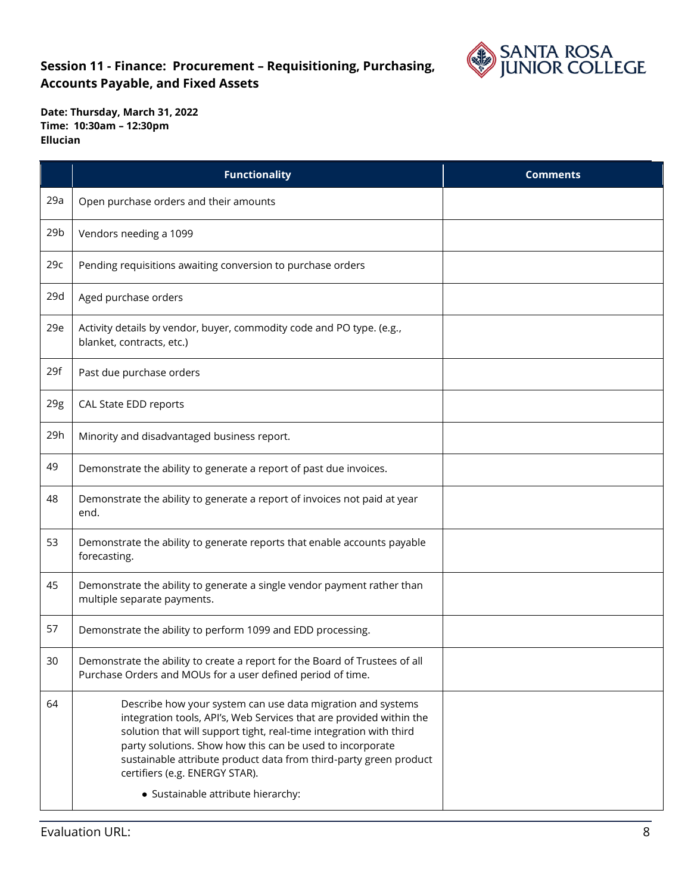

|                 | <b>Functionality</b>                                                                                                                                                                                                                                                                                                                                                                                               | <b>Comments</b> |
|-----------------|--------------------------------------------------------------------------------------------------------------------------------------------------------------------------------------------------------------------------------------------------------------------------------------------------------------------------------------------------------------------------------------------------------------------|-----------------|
| 29a             | Open purchase orders and their amounts                                                                                                                                                                                                                                                                                                                                                                             |                 |
| 29 <sub>b</sub> | Vendors needing a 1099                                                                                                                                                                                                                                                                                                                                                                                             |                 |
| 29c             | Pending requisitions awaiting conversion to purchase orders                                                                                                                                                                                                                                                                                                                                                        |                 |
| 29d             | Aged purchase orders                                                                                                                                                                                                                                                                                                                                                                                               |                 |
| 29e             | Activity details by vendor, buyer, commodity code and PO type. (e.g.,<br>blanket, contracts, etc.)                                                                                                                                                                                                                                                                                                                 |                 |
| 29f             | Past due purchase orders                                                                                                                                                                                                                                                                                                                                                                                           |                 |
| 29g             | CAL State EDD reports                                                                                                                                                                                                                                                                                                                                                                                              |                 |
| 29h             | Minority and disadvantaged business report.                                                                                                                                                                                                                                                                                                                                                                        |                 |
| 49              | Demonstrate the ability to generate a report of past due invoices.                                                                                                                                                                                                                                                                                                                                                 |                 |
| 48              | Demonstrate the ability to generate a report of invoices not paid at year<br>end.                                                                                                                                                                                                                                                                                                                                  |                 |
| 53              | Demonstrate the ability to generate reports that enable accounts payable<br>forecasting.                                                                                                                                                                                                                                                                                                                           |                 |
| 45              | Demonstrate the ability to generate a single vendor payment rather than<br>multiple separate payments.                                                                                                                                                                                                                                                                                                             |                 |
| 57              | Demonstrate the ability to perform 1099 and EDD processing.                                                                                                                                                                                                                                                                                                                                                        |                 |
| 30              | Demonstrate the ability to create a report for the Board of Trustees of all<br>Purchase Orders and MOUs for a user defined period of time.                                                                                                                                                                                                                                                                         |                 |
| 64              | Describe how your system can use data migration and systems<br>integration tools, API's, Web Services that are provided within the<br>solution that will support tight, real-time integration with third<br>party solutions. Show how this can be used to incorporate<br>sustainable attribute product data from third-party green product<br>certifiers (e.g. ENERGY STAR).<br>• Sustainable attribute hierarchy: |                 |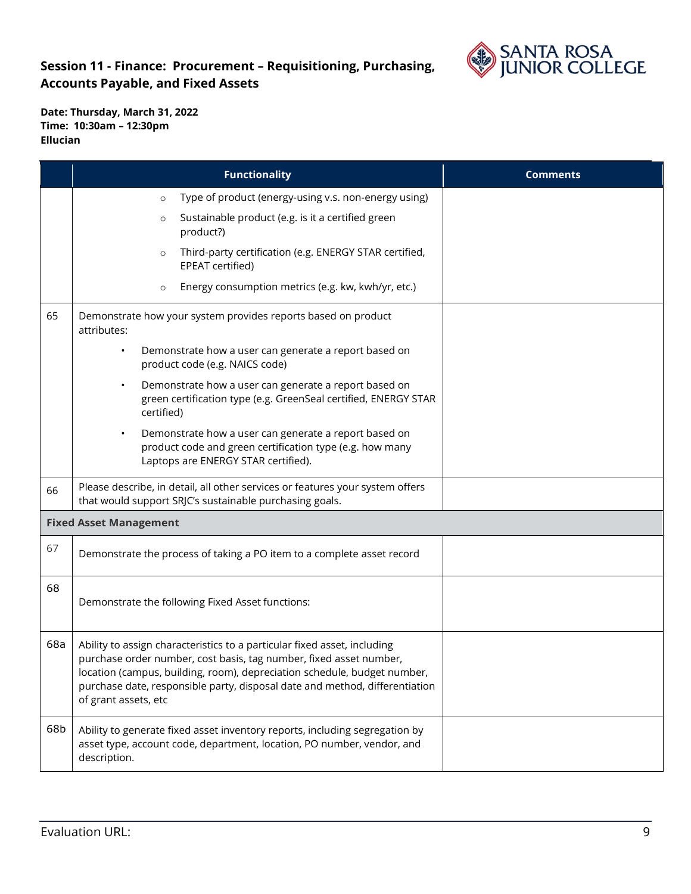

|     | <b>Functionality</b>                                                                                                                                                                                                                                                                                                              | <b>Comments</b> |
|-----|-----------------------------------------------------------------------------------------------------------------------------------------------------------------------------------------------------------------------------------------------------------------------------------------------------------------------------------|-----------------|
|     | Type of product (energy-using v.s. non-energy using)<br>$\circ$                                                                                                                                                                                                                                                                   |                 |
|     | Sustainable product (e.g. is it a certified green<br>$\circ$<br>product?)                                                                                                                                                                                                                                                         |                 |
|     | Third-party certification (e.g. ENERGY STAR certified,<br>$\circ$<br>EPEAT certified)                                                                                                                                                                                                                                             |                 |
|     | Energy consumption metrics (e.g. kw, kwh/yr, etc.)<br>$\circ$                                                                                                                                                                                                                                                                     |                 |
| 65  | Demonstrate how your system provides reports based on product<br>attributes:                                                                                                                                                                                                                                                      |                 |
|     | Demonstrate how a user can generate a report based on<br>$\bullet$<br>product code (e.g. NAICS code)                                                                                                                                                                                                                              |                 |
|     | Demonstrate how a user can generate a report based on<br>$\bullet$<br>green certification type (e.g. GreenSeal certified, ENERGY STAR<br>certified)                                                                                                                                                                               |                 |
|     | Demonstrate how a user can generate a report based on<br>$\bullet$<br>product code and green certification type (e.g. how many<br>Laptops are ENERGY STAR certified).                                                                                                                                                             |                 |
| 66  | Please describe, in detail, all other services or features your system offers<br>that would support SRJC's sustainable purchasing goals.                                                                                                                                                                                          |                 |
|     | <b>Fixed Asset Management</b>                                                                                                                                                                                                                                                                                                     |                 |
| 67  | Demonstrate the process of taking a PO item to a complete asset record                                                                                                                                                                                                                                                            |                 |
| 68  | Demonstrate the following Fixed Asset functions:                                                                                                                                                                                                                                                                                  |                 |
| 68a | Ability to assign characteristics to a particular fixed asset, including<br>purchase order number, cost basis, tag number, fixed asset number,<br>location (campus, building, room), depreciation schedule, budget number,<br>purchase date, responsible party, disposal date and method, differentiation<br>of grant assets, etc |                 |
| 68b | Ability to generate fixed asset inventory reports, including segregation by<br>asset type, account code, department, location, PO number, vendor, and<br>description.                                                                                                                                                             |                 |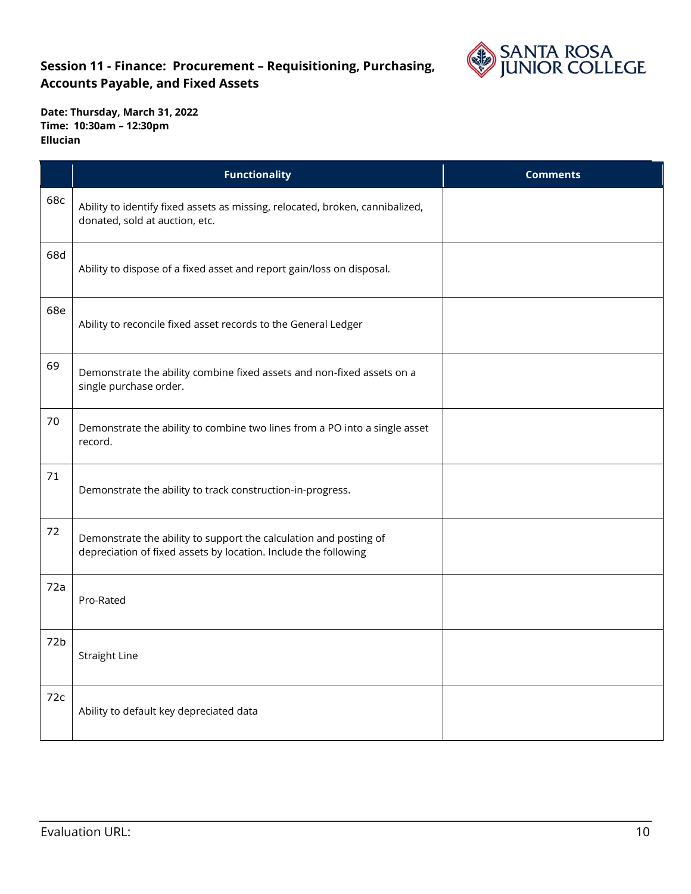

**Date: Thursday, March 31, 2022 Time: 10:30am – 12:30pm Ellucian** 

|     | <b>Functionality</b>                                                                                                                 | <b>Comments</b> |
|-----|--------------------------------------------------------------------------------------------------------------------------------------|-----------------|
| 68c | Ability to identify fixed assets as missing, relocated, broken, cannibalized,<br>donated, sold at auction, etc.                      |                 |
| 68d | Ability to dispose of a fixed asset and report gain/loss on disposal.                                                                |                 |
| 68e | Ability to reconcile fixed asset records to the General Ledger                                                                       |                 |
| 69  | Demonstrate the ability combine fixed assets and non-fixed assets on a<br>single purchase order.                                     |                 |
| 70  | Demonstrate the ability to combine two lines from a PO into a single asset<br>record.                                                |                 |
| 71  | Demonstrate the ability to track construction-in-progress.                                                                           |                 |
| 72  | Demonstrate the ability to support the calculation and posting of<br>depreciation of fixed assets by location. Include the following |                 |
| 72a | Pro-Rated                                                                                                                            |                 |
| 72b | <b>Straight Line</b>                                                                                                                 |                 |
| 72c | Ability to default key depreciated data                                                                                              |                 |